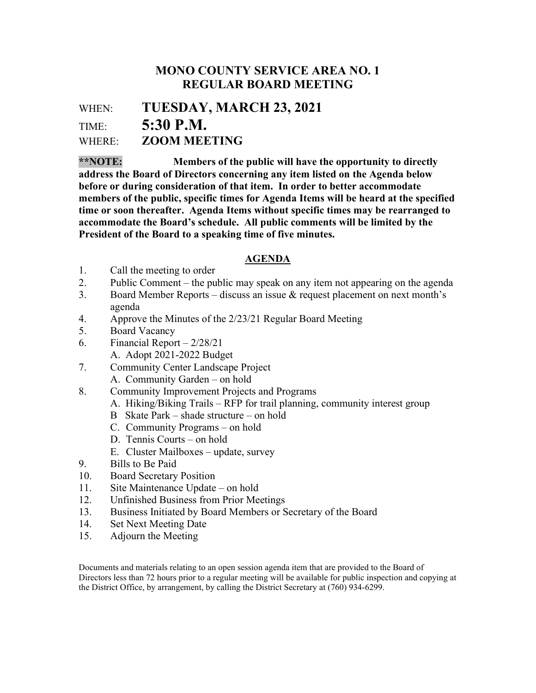## MONO COUNTY SERVICE AREA NO. 1 REGULAR BOARD MEETING

WHEN: TUESDAY, MARCH 23, 2021 TIME: 5:30 P.M. WHERE: **ZOOM MEETING** 

\*\*NOTE: Members of the public will have the opportunity to directly address the Board of Directors concerning any item listed on the Agenda below before or during consideration of that item. In order to better accommodate members of the public, specific times for Agenda Items will be heard at the specified time or soon thereafter. Agenda Items without specific times may be rearranged to accommodate the Board's schedule. All public comments will be limited by the President of the Board to a speaking time of five minutes.

## AGENDA

- 1. Call the meeting to order
- 2. Public Comment the public may speak on any item not appearing on the agenda
- 3. Board Member Reports discuss an issue  $\&$  request placement on next month's agenda
- 4. Approve the Minutes of the 2/23/21 Regular Board Meeting
- 5. Board Vacancy
- 6. Financial Report 2/28/21
	- A. Adopt 2021-2022 Budget
- 7. Community Center Landscape Project
	- A. Community Garden on hold
- 8. Community Improvement Projects and Programs
	- A. Hiking/Biking Trails RFP for trail planning, community interest group
	- B Skate Park shade structure on hold
	- C. Community Programs on hold
	- D. Tennis Courts on hold
	- E. Cluster Mailboxes update, survey
- 9. Bills to Be Paid
- 10. Board Secretary Position
- 11. Site Maintenance Update on hold
- 12. Unfinished Business from Prior Meetings
- 13. Business Initiated by Board Members or Secretary of the Board
- 14. Set Next Meeting Date
- 15. Adjourn the Meeting

Documents and materials relating to an open session agenda item that are provided to the Board of Directors less than 72 hours prior to a regular meeting will be available for public inspection and copying at the District Office, by arrangement, by calling the District Secretary at (760) 934-6299.